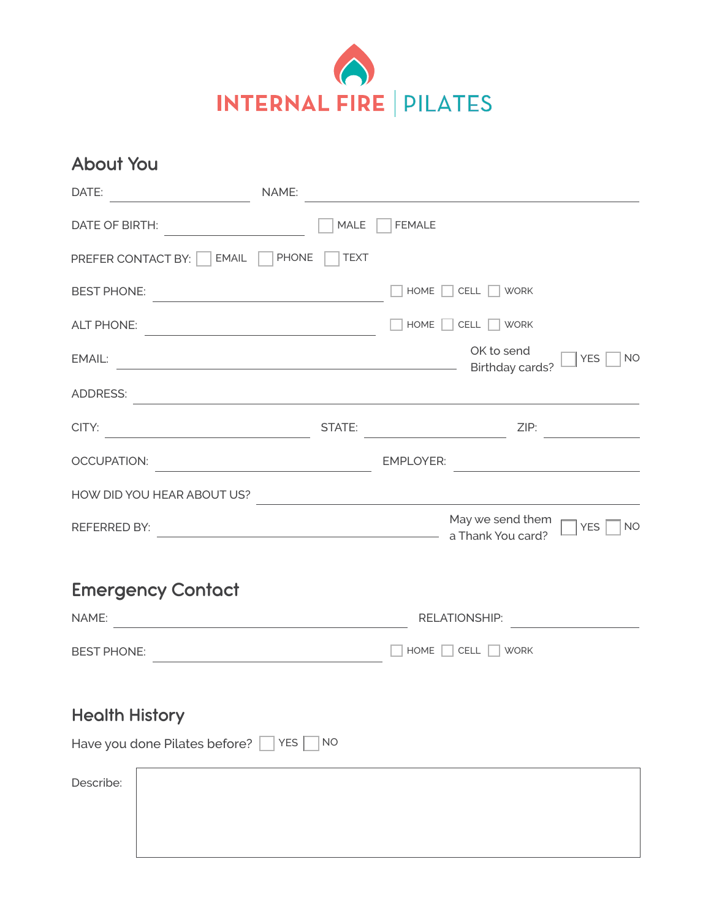

| <b>About You</b>                   |                                                                                                                                           |           |  |
|------------------------------------|-------------------------------------------------------------------------------------------------------------------------------------------|-----------|--|
| DATE:                              | NAME:                                                                                                                                     |           |  |
| DATE OF BIRTH:                     | MALE<br><b>FEMALE</b>                                                                                                                     |           |  |
| PREFER CONTACT BY:<br><b>EMAIL</b> | <b>PHONE</b><br><b>TEXT</b>                                                                                                               |           |  |
| <b>BEST PHONE:</b>                 | HOME<br>CELL  <br><b>WORK</b><br><u> 1989 - Johann Stein, fransk politik (d. 1989)</u>                                                    |           |  |
| <b>ALT PHONE:</b>                  | HOME<br>CELL WORK<br><u> 1980 - Johann Barn, mars ann an t-Amhain Aonaich an t-Aonaich an t-Aonaich ann an t-Aonaich ann an t-Aonaich</u> |           |  |
| EMAIL:                             | OK to send<br><b>YES</b><br><u> 1989 - Johann Barbara, martxa alemaniar amerikan personal (h. 1989).</u><br>Birthday cards?               | <b>NO</b> |  |
| ADDRESS:                           | the control of the control of the control of the control of the control of                                                                |           |  |
| CITY:                              | STATE: $\frac{1}{\sqrt{1-\frac{1}{2}}\left\vert \frac{1}{2}+1\right\vert ^{2}}$<br>ZIP:                                                   |           |  |
| OCCUPATION:                        | <b>EMPLOYER:</b><br><u> 1980 - Johann Barbara, martxa a</u>                                                                               |           |  |
| HOW DID YOU HEAR ABOUT US?         |                                                                                                                                           |           |  |
| <b>REFERRED BY:</b>                | May we send them<br><b>YES</b><br>a Thank You card?                                                                                       | <b>NO</b> |  |
| <b>Emergency Contact</b>           |                                                                                                                                           |           |  |
| NAME:                              | <b>RELATIONSHIP:</b>                                                                                                                      |           |  |
| <b>BEST PHONE:</b>                 | HOME<br>CELL<br><b>WORK</b><br><u> 1980 - Andrea Station Barbara, amerikan per</u>                                                        |           |  |
| <b>Health History</b>              |                                                                                                                                           |           |  |
| Have you done Pilates before?      | <b>NO</b><br><b>YES</b>                                                                                                                   |           |  |
| Describe:                          |                                                                                                                                           |           |  |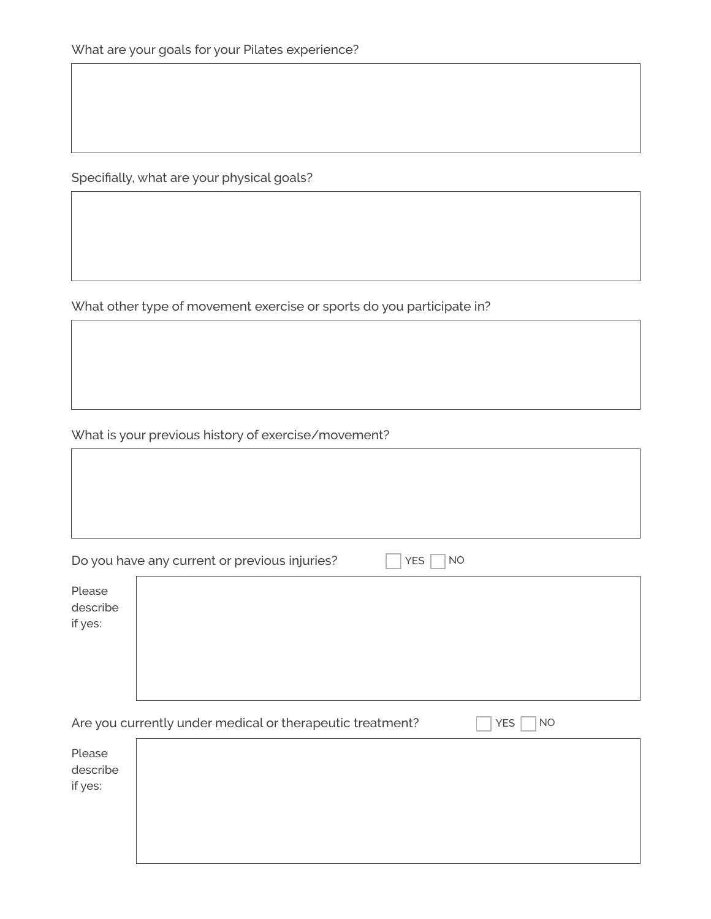Specifially, what are your physical goals?

What other type of movement exercise or sports do you participate in?

What is your previous history of exercise/movement?

|                                                                                      | Do you have any current or previous injuries? | <b>NO</b><br><b>YES</b> |  |  |
|--------------------------------------------------------------------------------------|-----------------------------------------------|-------------------------|--|--|
| Please<br>describe<br>if yes:                                                        |                                               |                         |  |  |
| Are you currently under medical or therapeutic treatment?<br><b>NO</b><br><b>YES</b> |                                               |                         |  |  |
| Please<br>describe<br>if yes:                                                        |                                               |                         |  |  |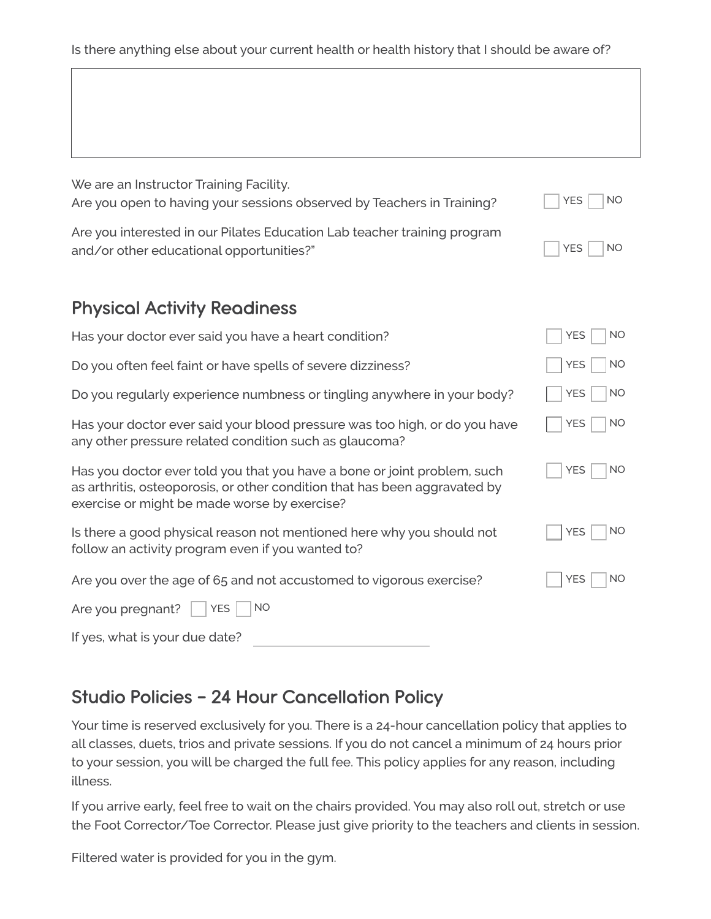Is there anything else about your current health or health history that I should be aware of?

| We are an Instructor Training Facility.<br>Are you open to having your sessions observed by Teachers in Training?                                                                                      | <b>NO</b><br><b>YES</b> |
|--------------------------------------------------------------------------------------------------------------------------------------------------------------------------------------------------------|-------------------------|
| Are you interested in our Pilates Education Lab teacher training program<br>and/or other educational opportunities?"                                                                                   | <b>YES</b><br><b>NO</b> |
| <b>Physical Activity Readiness</b>                                                                                                                                                                     |                         |
| Has your doctor ever said you have a heart condition?                                                                                                                                                  | <b>YES</b><br><b>NO</b> |
| Do you often feel faint or have spells of severe dizziness?                                                                                                                                            | <b>NO</b><br><b>YES</b> |
| Do you regularly experience numbness or tingling anywhere in your body?                                                                                                                                | <b>YES</b><br><b>NO</b> |
| Has your doctor ever said your blood pressure was too high, or do you have<br>any other pressure related condition such as glaucoma?                                                                   | <b>YES</b><br><b>NO</b> |
| Has you doctor ever told you that you have a bone or joint problem, such<br>as arthritis, osteoporosis, or other condition that has been aggravated by<br>exercise or might be made worse by exercise? | <b>YES</b><br><b>NO</b> |
| Is there a good physical reason not mentioned here why you should not<br>follow an activity program even if you wanted to?                                                                             | <b>YES</b><br><b>NO</b> |
| Are you over the age of 65 and not accustomed to vigorous exercise?                                                                                                                                    | <b>NO</b><br><b>YES</b> |
| <b>NO</b><br><b>YES</b><br>Are you pregnant?                                                                                                                                                           |                         |
| If yes, what is your due date?                                                                                                                                                                         |                         |

## **Studio Policies - 24 Hour Cancellation Policy**

Your time is reserved exclusively for you. There is a 24-hour cancellation policy that applies to all classes, duets, trios and private sessions. If you do not cancel a minimum of 24 hours prior to your session, you will be charged the full fee. This policy applies for any reason, including illness.

If you arrive early, feel free to wait on the chairs provided. You may also roll out, stretch or use the Foot Corrector/Toe Corrector. Please just give priority to the teachers and clients in session.

Filtered water is provided for you in the gym.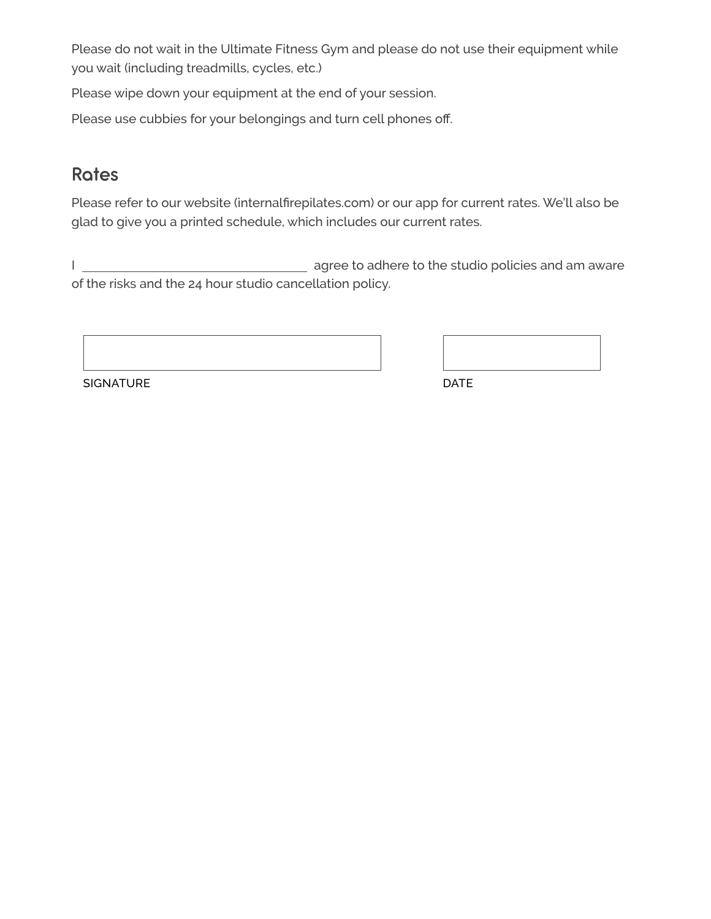Please do not wait in the Ultimate Fitness Gym and please do not use their equipment while you wait (including treadmills, cycles, etc.)

Please wipe down your equipment at the end of your session.

Please use cubbies for your belongings and turn cell phones off.

## **Rates**

Please refer to our website (internalfirepilates.com) or our app for current rates. We'll also be glad to give you a printed schedule, which includes our current rates.

I agree to adhere to the studio policies and am aware of the risks and the 24 hour studio cancellation policy.

SIGNATURE DATE